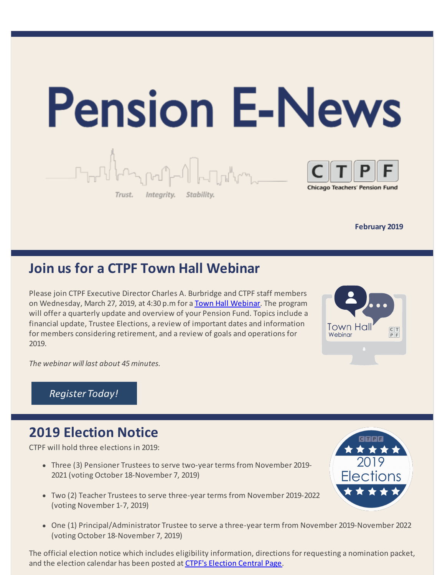

**February 2019** 

### **Join us for a CTPF Town Hall Webinar**

Please join CTPF Executive Director Charles A. Burbridge and CTPF staff members on Wednesday, March 27, 2019, at 4:30 p.m for a [Town Hall Webinar](https://register.gotowebinar.com/register/1003515863707508483). The program will offer a quarterly update and overview of your Pension Fund. Topics include a financial update, Trustee Elections, a review of important dates and information for members considering retirement, and a review of goals and operations for 2019.



*The webinar will last about 45 minutes.* 

**Register Today!** 

### **2019 Election Notice**

CTPF will hold three elections in 2019:

- Three (3) Pensioner Trustees to serve two-year terms from November 2019- 2021 (voting October 18-November 7, 2019)
- Two (2) Teacher Trustees to serve three-year terms from November 2019-2022 (voting November 1-7, 2019)
- One (1) Principal/Administrator Trustee to serve a three-year term from November 2019-November 2022 (voting October 18-November 7, 2019)

The official election notice which includes eligibility information, directions for requesting a nomination packet, and the election calendar has been posted at [CTPF's Election Central Page](https://www.ctpf.org/2019-election-central).

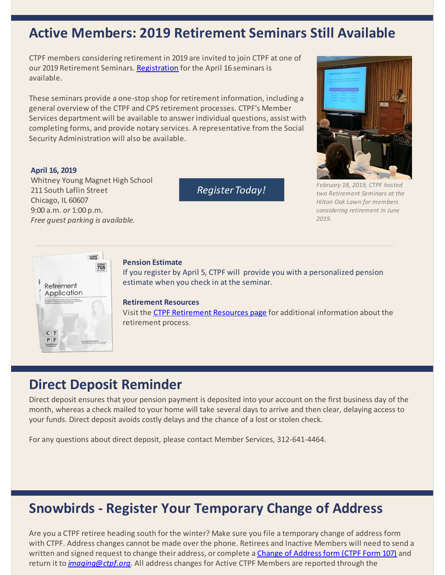#### **Active Members: 2019 Retirement Seminars Still Available**

CTPF members considering retirement in 2019 are invited to join CTPF at one of our 2019 Retirement Seminars. [Registration](https://goo.gl/forms/aIcWMLwPGVazbKEu2) for the April 16 seminars is available.

These seminars provide a one-stop shop for retirement information, including a general overview of the CTPF and CPS retirement processes. CTPF's Member Services department will be available to answer individual questions, assist with completing forms, and provide notary services. A representative from the Social Security Administration will also be available.

#### **April 16, 2019**

Whitney Young Magnet High School 211 South Laflin Street Chicago, IL 60607 9:00 a.m. *or* 1:00 p.m. *Free guest parking is available.* 

**Register Today!** 



*February 18, 2019, CTPF hosted two Retirement Seminars at the Hilton Oak Lawn for members considering retirement in June 2019.* 



#### **Pension Estimate**

If you register by April 5, CTPF will provide you with a personalized pension estimate when you check in at the seminar.

#### **Retirement Resources**

Visit the [CTPF Retirement Resources page](https://www.ctpf.org/retirement-resources) for additional information about the retirement process.

### **Direct Deposit Reminder**

Direct deposit ensures that your pension payment is deposited into your account on the first business day of the month, whereas a check mailed to your home will take several days to arrive and then clear, delaying access to your funds. Direct deposit avoids costly delays and the chance of a lost or stolen check.

For any questions about direct deposit, please contact Member Services, 312-641-4464.

### **Snowbirds - Register Your Temporary Change of Address**

Are you a CTPF retiree heading south for the winter? Make sure you file a temporary change of address form with CTPF. Address changes cannot be made over the phone. Retirees and Inactive Members will need to send a written and signed request to change their address, or complete a [Change of Address form \(CTPF Form 107\)](https://www.ctpf.org/sites/main/files/file-attachments/form_107_change_of_address_0.pdf) and return it to *[imaging@ctpf.org](mailto:imaging@ctpf.org)*. All address changes for Active CTPF Members are reported through the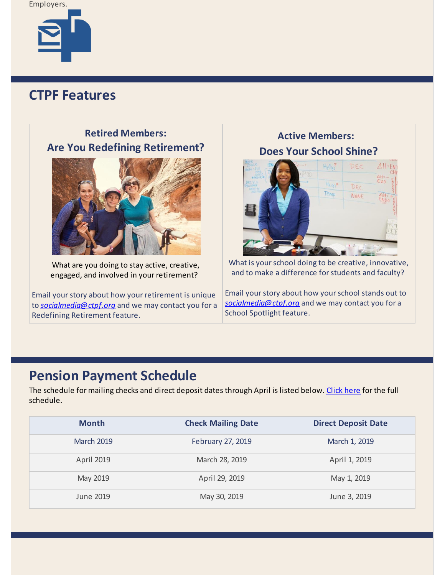Employers.



### **CTPF Features**

| <b>Retired Members:</b>                              | <b>Active Members:</b>                                      |
|------------------------------------------------------|-------------------------------------------------------------|
| <b>Are You Redefining Retirement?</b>                | <b>Does Your School Shine?</b>                              |
|                                                      | $H_2O_{(q)}^7$<br>DEC<br>$H_{Z,(a)}$<br>DEC<br>Temp<br>NONE |
| What are you doing to stay active, creative,         | What is your school doing to be creative, innovative,       |
| engaged, and involved in your retirement?            | and to make a difference for students and faculty?          |
| Email your story about how your retirement is unique | Email your story about how your school stands out to        |
| to socialmedia@ctpf.org and we may contact you for a | socialmedia@ctpf.org and we may contact you for a           |
| Redefining Retirement feature.                       | School Spotlight feature.                                   |

## **Pension Payment Schedule**

The schedule for mailing checks and direct deposit dates through April is listed below. [Click](https://www.ctpf.org/pension-payments) here for the full schedule.

| <b>Month</b>      | <b>Check Mailing Date</b> | <b>Direct Deposit Date</b> |
|-------------------|---------------------------|----------------------------|
| <b>March 2019</b> | February 27, 2019         | March 1, 2019              |
| <b>April 2019</b> | March 28, 2019            | April 1, 2019              |
| May 2019          | April 29, 2019            | May 1, 2019                |
| June 2019         | May 30, 2019              | June 3, 2019               |